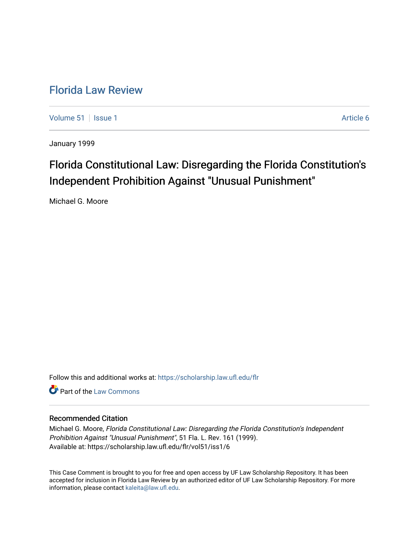## [Florida Law Review](https://scholarship.law.ufl.edu/flr)

[Volume 51](https://scholarship.law.ufl.edu/flr/vol51) | [Issue 1](https://scholarship.law.ufl.edu/flr/vol51/iss1) Article 6

January 1999

# Florida Constitutional Law: Disregarding the Florida Constitution's Independent Prohibition Against "Unusual Punishment"

Michael G. Moore

Follow this and additional works at: [https://scholarship.law.ufl.edu/flr](https://scholarship.law.ufl.edu/flr?utm_source=scholarship.law.ufl.edu%2Fflr%2Fvol51%2Fiss1%2F6&utm_medium=PDF&utm_campaign=PDFCoverPages)

**C** Part of the [Law Commons](http://network.bepress.com/hgg/discipline/578?utm_source=scholarship.law.ufl.edu%2Fflr%2Fvol51%2Fiss1%2F6&utm_medium=PDF&utm_campaign=PDFCoverPages)

## Recommended Citation

Michael G. Moore, Florida Constitutional Law: Disregarding the Florida Constitution's Independent Prohibition Against "Unusual Punishment", 51 Fla. L. Rev. 161 (1999). Available at: https://scholarship.law.ufl.edu/flr/vol51/iss1/6

This Case Comment is brought to you for free and open access by UF Law Scholarship Repository. It has been accepted for inclusion in Florida Law Review by an authorized editor of UF Law Scholarship Repository. For more information, please contact [kaleita@law.ufl.edu.](mailto:kaleita@law.ufl.edu)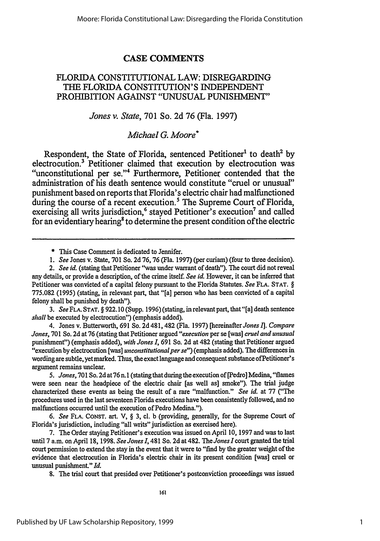### **CASE COMMENTS**

## FLORIDA **CONSTITUTIONAL** LAW: DISREGARDING **THE FLORIDA CONSTITUTION'S INDEPENDENT** PROHIBITION AGAINST "UNUSUAL PUNISHMENT"

## *Jones v. State,* **701** So. **2d 76** (Fla. **1997)**

## *Michael G. Moore\**

Respondent, the State of Florida, sentenced Petitioner<sup>1</sup> to death<sup>2</sup> by electrocution.<sup>3</sup> Petitioner claimed that execution by electrocution was "unconstitutional per se."<sup>4</sup> Furthermore, Petitioner contended that the administration of his death sentence would constitute "cruel or unusual" punishment based on reports that Florida's electric chair had malfunctioned during the course of a recent execution.<sup>5</sup> The Supreme Court of Florida, exercising all writs jurisdiction,<sup>6</sup> stayed Petitioner's execution<sup>7</sup> and called for an evidentiary hearing<sup>8</sup> to determine the present condition of the electric

*3. See* **FLA. STAT.** § 922. **10** (Supp. 1996) (stating, in relevant part, that "[a] death sentence *shall* be executed by electrocution") (emphasis added).

4. Jones v. Butterworth, 691 So. 2d 481, 482 (Fla. 1997) [hereinafter *Jones* **I].** *Compare Jones,* 701 So. 2d at 76 (stating that Petitioner argued *"execution* per se [was] *cruel and unusual* punishment") (emphasis added), *with Jones I,* 691 So. 2d at 482 (stating that Petitioner argued "execution by electrocution [was] *unconstitutional per se"*) (emphasis added). The differences in wording are subtle, yet marked. Thus, the exact language and consequent substance ofPetitioner's argument remains unclear.

*5. Jones,* 701 So. 2d at 76 n.l (stating that during the execution of [Pedro] Medina, "flames were seen near the headpiece of the electric chair [as well as] smoke"). The trial judge characterized these events as being the result of a rare "malfunction." *See id.* at 77 ("The procedures used in the last seventeen Florida executions have been consistently followed, and no malfunctions occurred until the execution of Pedro Medina.").

*6. See* **FLA.** CONST. art. V, § 3, cl. b (providing, generally, for the Supreme Court of Florida's jurisdiction, including "all writs" jurisdiction as exercised here).

7. The Order staying Petitioner's execution was issued on April 10, 1997 and was to last until 7 a.m. on April 18, 1998. *See Jones* **1,** 481 So. 2d at 482. The *Jones* Icourt granted the trial court permission to extend the stay in the event that it were to "find by the greater weight of the evidence that electrocution in Florida's electric chair in its present condition [was] cruel or unusual punishment." *Id.*

8. The trial court that presided over Petitioner's postconviction proceedings was issued

**<sup>\*</sup>** This Case Comment is dedicated to Jennifer.

*<sup>1.</sup> See* Jones v. State, **701** So. 2d **76, 76** (Fla. 1997) (per curiam) (four to three decision).

*<sup>2.</sup> See id.* (stating that Petitioner "was under warrant of death"). The court did not reveal any details, or provide a description, of the crime itself. *See id.* However, it can be inferred that Petitioner was convicted of a capital felony pursuant to the Florida Statutes. *See* FLA. STAT. § 775.082 (1995) (stating, in relevant part, that "[a] person who has been convicted of a capital felony shall be punished by death").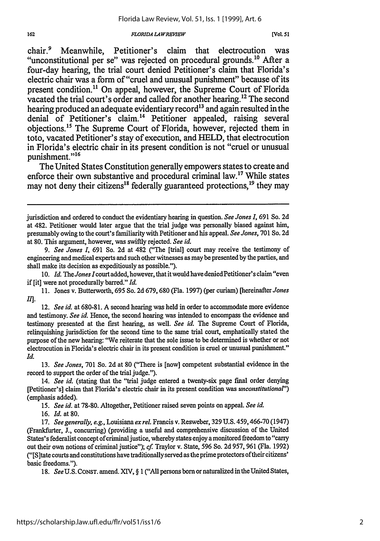#### *FLORIDA LA WREEW*

**[VOL 51**

chair.<sup>9</sup> Meanwhile, Petitioner's claim that electrocution was "unconstitutional per se" was rejected on procedural grounds.<sup>10</sup> After a four-day hearing, the trial court denied Petitioner's claim that Florida's electric chair was a form of "cruel and unusual punishment" because of its present condition.<sup>11</sup> On appeal, however, the Supreme Court of Florida vacated the trial court's order and called for another hearing.<sup>12</sup> The second hearing produced an adequate evidentiary record<sup>13</sup> and again resulted in the denial of Petitioner's claim.<sup>14</sup> Petitioner appealed, raising several objections."' The Supreme Court of Florida, however, rejected them in toto, vacated Petitioner's stay of execution, and HELD, that electrocution in Florida's electric chair in its present condition is not "cruel or unusual punishment."<sup>16</sup>

The United States Constitution generally empowers states to create and enforce their own substantive and procedural criminal law.<sup>17</sup> While states may not deny their citizens<sup>18</sup> federally guaranteed protections,  $19$  they may

15. *See id.* at 78-80. Altogether, Petitioner raised seven points on appeal. *See id.*

16. *Id.* at 80.

18. *See U.S. CONST. amend. XIV, § 1 ("All persons born or naturalized in the United States,* 

jurisdiction and ordered to conduct the evidentiary hearing in question. *See Jones I,* 691 So. 2d at 482. Petitioner would later argue that the trial judge was personally biased against him, presumably owing to the court's familiarity with Petitioner and his appeal. *See Jones,* 701 So. 2d at 80. This argument, however, was swiftly rejected. *See id.*

*<sup>9.</sup> See Jones 1,* 691 So. 2d at 482 ("The [trial] court may receive the testimony of engineering and medical experts and such other witnesses as may be presented by the parties, and shall make its decision as expeditiously as possible.").

<sup>10.</sup> *Id. The Jones I* court added, however, that it would have denied Petitioner's claim "even if [it] were not procedurally barred." *Id.*

<sup>11.</sup> Jones v. Butterworth, 695 So. 2d 679, 680 (Fla. 1997) (per curiam) [hereinafterJones *II.*

<sup>12.</sup> *See id.* at 680-81. A second hearing was held in order to accommodate more evidence and testimony. *See id.* Hence, the second hearing was intended to encompass the evidence and testimony presented at the first hearing, as well. *See id.* The Supreme Court of Florida, relinquishing jurisdiction for the second time to the same trial court, emphatically stated the purpose of the new hearing: "We reiterate that the sole issue to be determined is whether or not electrocution in Florida's electric chair in its present condition is cruel or unusual punishment." *Id.*

<sup>13.</sup> *See Jones,* 701 So. 2d at 80 ("There is [now] competent substantial evidence in the record to support the order of the trial judge.").

<sup>14.</sup> *See id.* (stating that the "trial judge entered a twenty-six page final order denying [Petitioner's] claim that Florida's electric chair in its present condition was *unconstitutional")* (emphasis added).

<sup>17.</sup> *See generally, e.g.,* Louisiana *ex rel.* Francis v. Resweber, 329 **U.S.** 459,466-70 (1947) (Frankfurter, J., concurring) (providing a useful and comprehensive discussion of the United States's federalist concept of criminal justice, whereby states enjoy a monitored freedom to "carry out their own notions of criminal justice"); *cf.* Traylor v. State, 596 So. 2d 957, 961 (Fla. 1992) ("[S]tate courts and constitutions have traditionally served as the prime protectors of their citizens' basic freedoms.").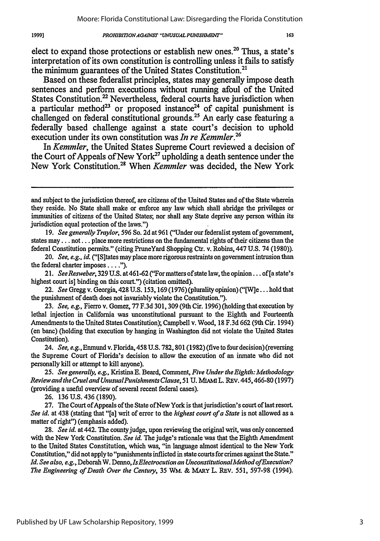#### *PROHIBITIONAGAINST "UNUSUAL PUNISMENT"*

elect to expand those protections or establish new ones.<sup>20</sup> Thus, a state's interpretation of its own constitution is controlling unless it fails to satisfy the minimum guarantees of the United States Constitution.<sup>21</sup>

Based on these federalist principles, states may generally impose death sentences and perform executions without running afoul of the United States Constitution.<sup>22</sup> Nevertheless, federal courts have jurisdiction when a particular method<sup>23</sup> or proposed instance<sup>24</sup> of capital punishment is challenged on federal constitutional grounds.<sup>25</sup> An early case featuring a federally based challenge against a state court's decision to uphold execution under its own constitution was *In re Kemmler.26*

In *Kemmler,* the United States Supreme Court reviewed a decision of the Court of Appeals of New York<sup>27</sup> upholding a death sentence under the New York Constitution.28 When *Kemmler* was decided, the New York

19. *See generally Traylor,* 596 So. 2d at 961 ("Under our federalist system of government, states may **...** not.. **.** place more restrictions on the fundamental rights of their citizens than the federal Constitution permits." (citing PruneYard Shopping Ctr. v. Robins, 447 U.S. 74 (1980)).

20. *See, e.g., id.* ("[S]tates may place more rigorous restraints on government intrusion than the federal charter imposes **.... ).**

21. *SeeResweber,* **329** U.S. at461-62 ("For matters ofstate law, the opinion... of[a state's highest court is] binding on this court.") (citation omitted).

22. *See* Gregg v. Georgia, 428 U.S. 153,169 (1976) (plurality opinion) ("[W]e... hold that the punishment of death does not invariably violate the Constitution.").

**23.** *See, e.g.,* Fierro v. Gomez, 77 F.3d 301, 309 (9th Cir. 1996) (holding that execution by lethal injection in California was unconstitutional pursuant to the Eighth and Fourteenth Amendments to the United States Constitution); Campbell v. Wood, 18 F.3d **662** (9th Cir. 1994) (en bane) (holding that execution by hanging in Washington did not violate the United States Constitution).

24. *See, e.g.,* Enmund v. Florida, 458 U.S. 782, 801 (1982) (five to four decision) (reversing the Supreme Court of Florida's decision to allow the execution of an inmate who did not personally kill or attempt to kill anyone).

*25. See generally, e.g.,* Kristina **E.** Beard, Comment, *Five Under the Eighth: Methodology Reviewandthe CruelandUnusualPunishments Clause,* 51 **U.** MAMI L. REV. 445,466-80 (1997) (providing a useful overview of several recent federal cases).

26. 136 U.S. 436 (1890).

**27.** The Court ofAppeals of the State of New York is thatjurisdiction's court of last resort. *See id.* at 438 (stating that "[a] writ of error to the *highest court of a State* is not allowed as a matter of right") (emphasis added).

**28.** *See id.* at 442. The county judge, upon reviewing the original writ, was only concerned with the New York Constitution. *See id.* The judge's rationale was that the Eighth Amendment to the United States Constitution, which was, "in language almost identical to the New York Constitution," did not apply to "punishments inflicted in state courts for crimes against the State." *Id. See also, e.g.,* Deborah W. Denno, *IsElectrocution an UnconstitutionallMethod ofExecution? The Engineering of Death Over the Century,* 35 WM. **& MARY** L. REV. 551, 597-98 (1994).

and subject to the jurisdiction thereof, are citizens of the United States and of the State wherein they reside. No State shall make or enforce any law which shall abridge the privileges or immunities of citizens of the United States; nor shall any State deprive any person within its jurisdiction equal protection of the laws.")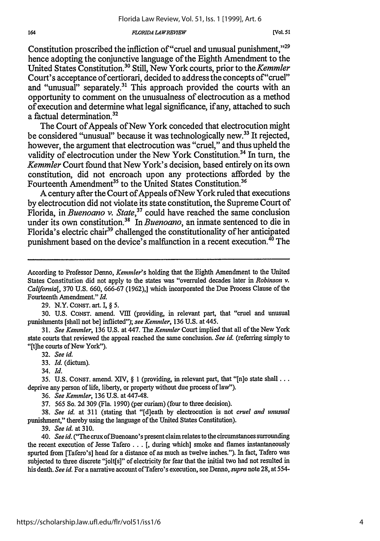#### *FLOPRIDA LA WREYIEW*

Constitution proscribed the infliction of "cruel and unusual punishment," $^{29}$ hence adopting the conjunctive language of the Eighth Amendment to the United States Constitution.3 " Still, New York courts, prior to the *Kemmler* Court's acceptance of certiorari, decided to address the concepts of"cruel" and "unusual" separately.<sup>31</sup> This approach provided the courts with an opportunity to comment on the unusualness of electrocution as a method of execution and determine what legal significance, if any, attached to such a factual determination.<sup>32</sup>

The Court of Appeals of New York conceded that electrocution might be considered "unusual" because it was technologically new.<sup>33</sup> It rejected, however, the argument that electrocution was "cruel," and thus upheld the validity of electrocution under the New York Constitution.<sup>34</sup> In turn, the *Kemmler* Court found that New York's decision, based entirely on its own constitution, did not encroach upon any protections afforded **by** the Fourteenth Amendment<sup>35</sup> to the United States Constitution.<sup>36</sup>

**A** century after the Court of Appeals of New York ruled that executions **by** electrocution did not violate its state constitution, the Supreme Court of Florida, in *Buenoano v. State*,<sup>37</sup> could have reached the same conclusion under its own constitution.<sup>38</sup> In *Buenoano*, an inmate sentenced to die in Florida's electric chair<sup>39</sup> challenged the constitutionality of her anticipated punishment based on the device's malfunction in a recent execution.<sup>40</sup> The

29. N.Y. **CONST.** art. I, § *5.*

30. U.S. CONST. amend. VIII (providing, in relevant part, that "cruel and unusual punishments [shall not be] inflicted"); see Kemmler, 136 U.S. at 445.

31. *See Kenmler,* 136 U.S. at 447. The *Kemmler* Court implied that all of the New York state courts that reviewed the appeal reached the same conclusion. *See id.* (referring simply to "[t]he courts of New York").

32. *See id.*

33. *Id.* (dictum).

34. *Id.*

35. U.S. **CONST.** amend. XIV, § 1 (providing, in relevant part, that "[n]o state shall... deprive any person of life, liberty, or property without due process of law").

36. *See Kemmler,* 136 U.S. at 447-48.

37. 565 So. 2d 309 (Fla. 1990) (per curiam) (four to three decision).

38. *See id.* at 311 (stating that "[d]eath **by** electrocution is not *cruel and unusual* punishment," thereby using the language of the United States Constitution).

39. *See id.* at **310.**

40. *See id.* ("The crux of Buenoano's present claim relates to the circumstances surrounding the recent execution of Jesse Tafero... **[,** during which] smoke and flames instantaneously spurted from [Tafero's] head for a distance of as much as twelve inches."). In fact, Tafero was subjected to three discrete "jolt[s]" of electricity for fear that the initial two had not resulted in his death. *See id.* For a narrative account of Tafero's execution, see Denno, *supra* note 28, at 554-

According to Professor Denno, *Kemmler's* holding that the Eighth Amendment to the United States Constitution did not apply to the states was "overruled decades later in *Robinson v. California[,* 370 U.S. 660, 666-67 (1962),] which incorporated the Due Process Clause of the Fourteenth Amendment." *Id.*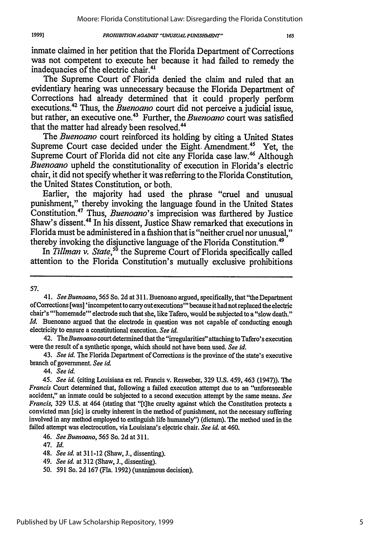#### *PROHIBITIONAGAINST "UNVJSUALPUNISHMEDVT"*

165

inmate claimed in her petition that the Florida Department of Corrections was not competent to execute her because it had failed to remedy the inadequacies of the electric chair.<sup>41</sup>

The Supreme Court of Florida denied the claim and ruled that an evidentiary hearing was unnecessary because the Florida Department of Corrections had already determined that it could properly perform executions.42 Thus, the *Buenoano* court did not perceive a judicial issue, but rather, an executive one.<sup>43</sup> Further, the *Buenoano* court was satisfied that the matter had already been resolved.<sup>44</sup>

The *Buenoano* court reinforced its holding **by** citing a United States Supreme Court case decided under the Eight. Amendment.<sup>45</sup> Yet, the Supreme Court of Florida did not cite any Florida case law.<sup>46</sup> Although *Buenoano* upheld the constitutionality of execution in Florida's electric chair, it did not specify whether it was referring to the Florida Constitution, the United States Constitution, or both.

Earlier, the majority had used the phrase "cruel and unusual punishment," thereby invoking the language found in the United States Constitution.47 Thus, *Buenoano's* imprecision was furthered by Justice Shaw's dissent.<sup>48</sup> In his dissent, Justice Shaw remarked that executions in Florida must be administered in a fashion that is "neither cruel nor unusual," thereby invoking the disjunctive language of the Florida Constitution.<sup>49</sup>

In *Tillman v. State*,<sup>50</sup> the Supreme Court of Florida specifically called attention to the Florida Constitution's mutually exclusive prohibitions

57.

**1991**

42. *TheBuenoano* court determined that the "irregularities" attaching to Tafero's execution were the result of a synthetic sponge, which should not have been used. *See id.*

43. *See id.* The Florida Department of Corrections is the province of the state's executive branch of government. *See id.*

44. *See id.*

45. *See id.* (citing Louisiana ex rel. Francis v. Resweber, 329 U.S. 459, 463 (1947)). The *Francis* Court determined that, following a failed execution attempt due to an "unforeseeable" accident," an inmate could be subjected to a second execution attempt by the same means. *See Francis,* 329 U.S. at 464 (stating that "[t]he cruelty against which the Constitution protects a convicted man [sic] is cruelty inherent in the method of punishment, not the necessary suffering involved in any method employed to extinguish life humanely") (dictum). The method used in the failed attempt was electrocution, via Louisiana's electric chair. *See id.* at 460.

47. *Id.*

*49. See id.* at 312 (Shaw, **3.,** dissenting).

*<sup>41.</sup> SeeBuenoano, 565* So. 2d at **311.** Buenoano argued, specifically, that "the Department of Corrections [was] 'incompetent to carry out executions' because it had not replaced the electric chair's "'homemade"' electrode such that she, like Tafero, would be subjected to a "slow death." *Id.* Buenoano argued that the electrode in question was not capable of conducting enough electricity to ensure a constitutional execution. *See id.*

<sup>46.</sup> *See Buenoano, 565* So. 2d at 311.

<sup>48.</sup> *See id.* at 311-12 (Shaw, **J.,** dissenting).

<sup>50. 591</sup> So. 2d 167 (Fla. 1992) (unanimous decision).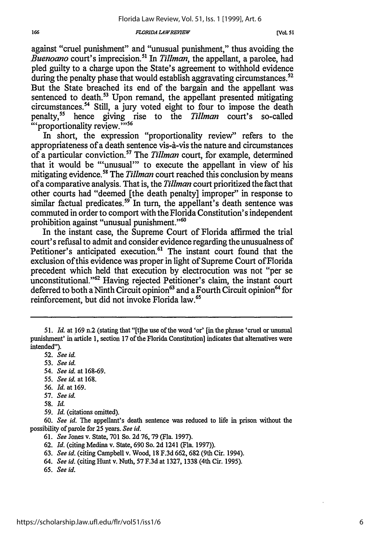#### **FLORIDA LAW REVIEW**

against "cruel punishment" and "unusual punishment," thus avoiding the *Buenoano* court's imprecision.<sup>51</sup> In *Tillman*, the appellant, a parolee, had pled guilty to a charge upon the State's agreement to withhold evidence during the penalty phase that would establish aggravating circumstances.<sup>52</sup>

But the State breached its end of the bargain and the appellant was sentenced to death.<sup>53</sup> Upon remand, the appellant presented mitigating circumstances.<sup>54</sup> Still, a jury voted eight to four to impose the death penalty,<sup>55</sup> hence giving rise to the *Tillman* court's so-called "">">">">">">">">">">">">">"

In short, the expression "proportionality review" refers to the appropriateness of a death sentence vis-à-vis the nature and circumstances of a particular conviction." The *Tillman* court, for example, determined that it would be "'unusual"' to execute the appellant in view of his mitigating evidence.<sup>58</sup> The *Tillman* court reached this conclusion by means of a comparative analysis. That is, the *Tillman* court prioritized the fact that other courts had "deemed [the death penalty] improper" in response to similar factual predicates.<sup>59</sup> In turn, the appellant's death sentence was commuted in order to comport with the Florida Constitution's independent prohibition against "unusual punishment."<sup>60</sup>

In the instant case, the Supreme Court of Florida affirmed the trial court's refusal to admit and consider evidence regarding the unusualness of Petitioner's anticipated execution.<sup>61</sup> The instant court found that the exclusion of this evidence was proper in light of Supreme Court of Florida precedent which held that execution by electrocution was not "per se unconstitutional."<sup>62</sup> Having rejected Petitioner's claim, the instant court deferred to both a Ninth Circuit opinion<sup>63</sup> and a Fourth Circuit opinion<sup>64</sup> for reinforcement, but did not invoke Florida law.<sup>65</sup>

- 53. *See id.*
- 54. *See id.* at 168-69.
- 55. *See id.* at 168.
- 56. *Id.* at 169.
- 57. *See id.*
- 58. *Id.*
- 59. *Id.* (citations omitted).

60. *See id.* The appellant's death sentence was reduced to life in prison without the possibility of parole for 25 years. *See id.*

- *61. See* Jones v. State, 701 So. 2d 76, 79 (Fla. 1997).
- 62. *Id.* (citing Medina v. State, 690 So. 2d 1241 (Fla. 1997)).
- 63. *See id.* (citing Campbell v. Wood, 18 F.3d 662, 682 (9th Cir. 1994).
- 64. *See id.* (citing Hunt v. Nuth, 57 F.3d at 1327, 1338 (4th Cir. 1995).
- 65. *See id.*

166

<sup>51.</sup> *Id.* at 169 n.2 (stating that "[t]he use of the word 'or' [in the phrase 'cruel or unusual punishment' in article 1, section 17 of the Florida Constitution] indicates that alternatives were intended").

<sup>52.</sup> *See id.*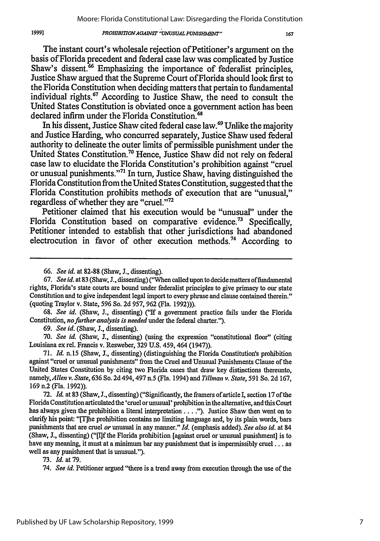#### **1999]** *PROHIBI7TONAGAINST " UNUSUALPUNISII, "* **167**

The instant court's wholesale rejection of Petitioner's argument on the basis of Florida precedent and federal case law was complicated **by** Justice Shaw's dissent.<sup>66</sup> Emphasizing the importance of federalist principles, Justice Shaw argued that the Supreme Court ofFlorida should look first to the Florida Constitution when deciding matters that pertain to fundamental individual rights.<sup>67</sup> According to Justice Shaw, the need to consult the United States Constitution is obviated once a government action has been declared infirm under the Florida Constitution.<sup>68</sup>

In his dissent, Justice Shaw cited federal case law.<sup>69</sup> Unlike the majority and Justice Harding, who concurred separately, Justice Shaw used federal authority to delineate the outer limits of permissible punishment under the United States Constitution."0 Hence, Justice Shaw did not rely on federal case law to elucidate the Florida Constitution's prohibition against "cruel or unusual punishments."<sup>71</sup> In turn, Justice Shaw, having distinguished the Florida Constitution from the United States Constitution, suggested that the Florida Constitution prohibits methods of execution that are "unusual," regardless of whether they are "cruel."<sup>72</sup>

Petitioner claimed that his execution would be "unusual" under the Florida Constitution based on comparative evidence.<sup>73</sup> Specifically, Petitioner intended to establish that other jurisdictions had abandoned electrocution in favor of other execution methods.<sup>74</sup> According to

**68.** *See id.* (Shaw, **J.,** dissenting) ("If a government practice fails under the Florida Constitution, *nofurther analysis is needed* under the federal charter.").

**69.** *See id.* (Shaw, **J.,** dissenting).

**70.** *See id.* (Shaw, **J.,** dissenting) (using the expression "constitutional floor" (citing Louisiana ex rel. Francis v. Resweber, **329 U.S.** 459,464 (1947)).

**71.** *Id.* n.15 (Shaw, **J.,** dissenting) (distinguishing the Florida Constitution's prohibition against "cruel or unusual punishments" from the Cruel and Unusual Punishments Clause of the United States Constitution **by** citing two Florida cases that draw key distinctions thereunto, namely, *Allen v. State,* **636** So. **2d** 494, 497 **n.5** (Fla. 1994) and *Tillman v. State,* **591** So. **2d 167, 169** n.2 (Fla. **1992)).**

**72.** *Id.* at **83** (Shaw, **J.,** dissenting) ("Significantly, the framers of article **I,** section **17** of the Florida Constitution articulated the 'cruel orunusual' prohibition in the alternative, and this Court has always given the prohibition a literal interpretation .... *").* Justice Shaw then went on to clarify his point: "[The prohibition contains no limiting language and, **by** its plain words, bars punishments that are cruel *or* unusual in any manner." *Id.* (emphasis added). *See also id.* at 84 (Shaw, **J.,** dissenting) **("[I]f** the Florida prohibition [against cruel or unusual punishment] is to have any meaning, it must at a minimum bar any punishment that is impermissibly **cruel...** as well as any punishment that is unusual.").

**73. Id.** at **79.**

74. *See id.* Petitioner argued "there is a trend away from execution through the use of the

*<sup>66.</sup> See id.* at **82-88** (Shaw, **J.,** dissenting).

*<sup>67.</sup> See id. at* **83** (Shaw, **J.,** dissenting) ("When called upon to decide matters offundamental rights, Florida's state courts are bound under federalist principles to give primacy to our state Constitution and to give independent legal import to every phrase and clause contained therein." (quoting Traylor v. State, **596** So. **2d 957, 962** (Fla. **1992))).**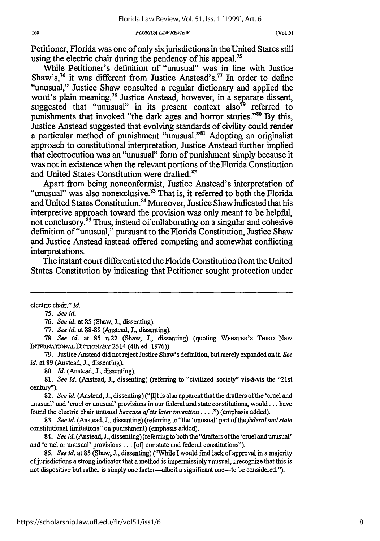#### *FLORIDA LA WREPEW*

Petitioner, Florida was one of only six jurisdictions in the United States still using the electric chair during the pendency of his appeal.<sup>75</sup>

While Petitioner's definition of "unusual" was in line with Justice Shaw's,<sup>76</sup> it was different from Justice Anstead's.<sup>77</sup> In order to define "unusual," Justice Shaw consulted a regular dictionary and applied the word's plain meaning.<sup>78</sup> Justice Anstead, however, in a separate dissent, suggested that "unusual" in its present context also<sup>79</sup> referred to punishments that invoked "the dark ages and horror stories."<sup>80</sup> By this, Justice Anstead suggested that evolving standards of civility could render a particular method of punishment "unusual."<sup>81</sup> Adopting an originalist approach to constitutional interpretation, Justice Anstead further implied that electrocution was an "unusual" form of punishment simply because it was not in existence when the relevant portions of the Florida Constitution and United States Constitution were drafted.<sup>82</sup><br>Apart from being nonconformist, Justice Anstead's interpretation of

"unusual" was also nonexclusive. $83$  That is, it referred to both the Florida and United States Constitution.<sup>84</sup> Moreover, Justice Shaw indicated that his interpretive approach toward the provision was only meant to be helpful, not conclusory.<sup>85</sup> Thus, instead of collaborating on a singular and cohesive definition of "unusual," pursuant to the Florida Constitution, Justice Shaw and Justice Anstead instead offered competing and somewhat conflicting interpretations.

The instant court differentiated the Florida Constitution from the United States Constitution by indicating that Petitioner sought protection under

76. *See id.* at 85 (Shaw, J., dissenting).

77. *See id.* at 88-89 (Anstead, J., dissenting).

78. *See id.* at 85 n.22 (Shaw, J., dissenting) (quoting WEBSTER'S THIRD NEW **INTERNATIONAL DICTIONARY** 2514 (4th ed. 1976)).

79. Justice Anstead did not reject Justice Shaw's definition, but merely expanded on it. *See id.* at 89 (Anstead, **3.,** dissenting).

**80.** *Id.* (Anstead, **J.,** dissenting).

81. *See id.* (Anstead, J., dissenting) (referring to "civilized society" vis-à-vis the "21st century").

82. *See id.* (Anstead, **J.,** dissenting) ("[Ilt is also apparent that the drafters of the 'cruel and unusual' and 'cruel or unusual' provisions in our federal and state constitutions, would **...** have found the electric chair unusual *because of its later invention* **....** ") (emphasis added).

83. *See id.* (Anstead, *J.,* dissenting) (referring to "the 'unusual' part *of thefederal and state* constitutional limitations" on punishment) (emphasis added).

84. *See id.* (Anstead, **J.,** dissenting) (referring to both the "drafters ofthe 'cruel and unusual' and 'cruel or unusual' provisions. **.** . [of] our state and federal constitutions").

85. *See id.* at 85 (Shaw, **J.,** dissenting) ("While **I** would find lack of approval in a majority ofjurisdictions a strong indicator that a method is impermissibly unusual, I recognize that this is not dispositive but rather is simply one factor-albeit a significant one--to be considered.").

electric chair." *Id.*

*<sup>75.</sup> See id.*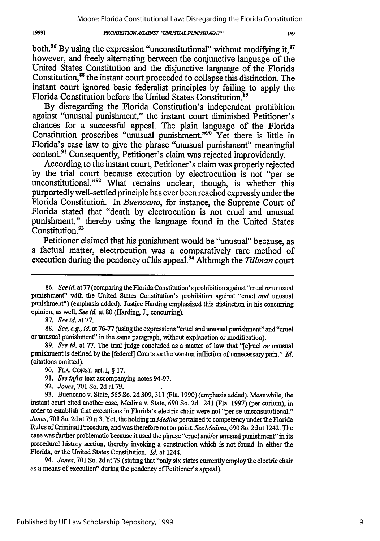#### **PROHIBITION AGAINST "UNUSUAL PUNISHMENT"**

both.<sup>86</sup> By using the expression "unconstitutional" without modifying it,<sup>87</sup> however, and freely alternating between the conjunctive language of the United States Constitution and the disjunctive language of the Florida Constitution,<sup>88</sup> the instant court proceeded to collapse this distinction. The instant court ignored basic federalist principles by failing to apply the Florida Constitution before the United States Constitution.<sup>89</sup>

By disregarding the Florida Constitution's independent prohibition against "unusual punishment," the instant court diminished Petitioner's chances for a successful appeal. The plain language of the Florida Constitution proscribes "unusual punishment."<sup>90</sup> Yet there is little in Florida's case law to give the phrase "unusual punishment" meaningful content.<sup>91</sup> Consequently, Petitioner's claim was rejected improvidently.

According to the instant court, Petitioner's claim was properly rejected by the trial court because execution by electrocution is not "per se unconstitutional."<sup>92</sup> What remains unclear, though, is whether this purportedly well-settled principle has ever been reached expressly under the Florida Constitution. In *Buenoano,* for instance, the Supreme Court of Florida stated that "death by electrocution is not cruel and unusual punishment," thereby using the language found in the United States Constitution.<sup>9</sup>

Petitioner claimed that his punishment would be "unusual" because, as a factual matter, electrocution was a comparatively rare method of execution during the pendency of his appeal.94 Although the *Tillman* court

87. See *id.* at 77.

88. See, e.g., *id.* at 76-77 (using the expressions "cruel and unusual punishment"and "cruel or unusual punishment" in the same paragraph, without explanation or modification).

89. *See id.* at 77. The trial judge concluded as a matter of law that "[c]ruel *or* unusual punishment is defined by the [federal] Courts as the wanton infliction of unnecessary pain." *Id.* (citations omitted).

92. *Jones,* 701 So. 2d at 79.

94. *Jones,* 701 So. 2d at 79 (stating that "only six states currently employ the electric chair as a means of execution" during the pendency of Petitioner's appeal).

<sup>86.</sup> *See id.* at **77** (comparing the Florida Constitution's prohibition against "cruel orunusual punishment" with the United States Constitution's prohibition against "cruel *and* unusual punishment") (emphasis added). Justice Harding emphasized this distinction in his concurring opinion, as well. *See id.* at 80 (Harding, **J.,** concurring).

<sup>90.</sup> FLA. CONST. art. I, § 17.

*<sup>91.</sup> See infra* text accompanying notes 94-97.

<sup>93.</sup> Buenoano v. State, **565** So. 2d 309,311 (Fla. 1990) (emphasis added). Meanwhile, the instant court cited another case, Medina v. State, 690 So. 2d 1241 (Fla. 1997) (per curium), in order to establish that executions in Florida's electric chair were not "per se unconstitutional." *Jones,* 701 So. 2d at 79 n.3. Yet, the holding *inMedina* pertained to competency under the Florida Rules of Criminal Procedure, and was therefore not on point. *SeeMedina,* 690 So. 2d at 1242. The case was further problematic because it used the phrase "cruel and/or unusual punishment" in its procedural history section, thereby invoking a construction which is not found in either the Florida, or the United States Constitution. *Id.* at 1244.